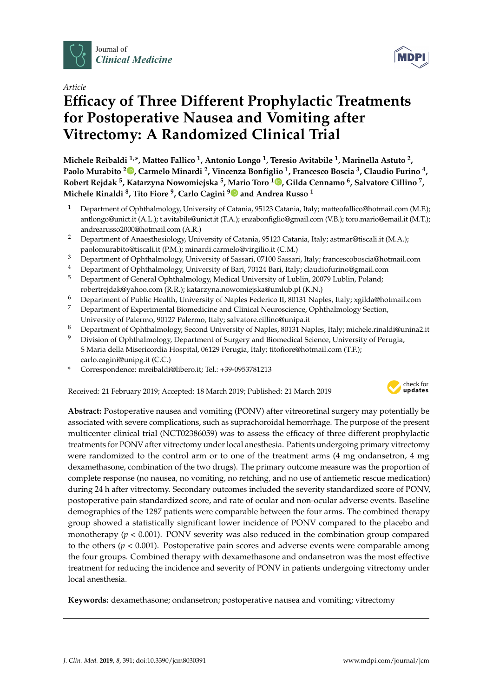

*Article*

# **Efficacy of Three Different Prophylactic Treatments for Postoperative Nausea and Vomiting after Vitrectomy: A Randomized Clinical Trial**

**Michele Reibaldi 1,\*, Matteo Fallico <sup>1</sup> , Antonio Longo <sup>1</sup> , Teresio Avitabile <sup>1</sup> , Marinella Astuto <sup>2</sup> , Paolo Murabito <sup>2</sup> [,](https://orcid.org/0000-0002-2662-1898) Carmelo Minardi <sup>2</sup> , Vincenza Bonfiglio <sup>1</sup> , Francesco Boscia <sup>3</sup> , Claudio Furino <sup>4</sup> , Robert Rejdak <sup>5</sup> , Katarzyna Nowomiejska <sup>5</sup> , Mario Toro <sup>1</sup> [,](https://orcid.org/0000-0001-7152-2613) Gilda Cennamo <sup>6</sup> , Salvatore Cillino <sup>7</sup> , Michele Rinaldi <sup>8</sup> , Tito Fiore <sup>9</sup> , Carlo Cagini [9](https://orcid.org/0000-0002-3812-9219) and Andrea Russo <sup>1</sup>**

- <sup>1</sup> Department of Ophthalmology, University of Catania, 95123 Catania, Italy; matteofallico@hotmail.com (M.F.); antlongo@unict.it (A.L.); t.avitabile@unict.it (T.A.); enzabonfiglio@gmail.com (V.B.); toro.mario@email.it (M.T.); andrearusso2000@hotmail.com (A.R.)
- <sup>2</sup> Department of Anaesthesiology, University of Catania, 95123 Catania, Italy; astmar@tiscali.it (M.A.); paolomurabito@tiscali.it (P.M.); minardi.carmelo@virgilio.it (C.M.)
- <sup>3</sup> Department of Ophthalmology, University of Sassari, 07100 Sassari, Italy; francescoboscia@hotmail.com
- <sup>4</sup> Department of Ophthalmology, University of Bari, 70124 Bari, Italy; claudiofurino@gmail.com<br><sup>5</sup> Department of Congral Ophthalmology, Medical University of Lublin, 20070 Lublin, Polandy
- <sup>5</sup> Department of General Ophthalmology, Medical University of Lublin, 20079 Lublin, Poland; robertrejdak@yahoo.com (R.R.); katarzyna.nowomiejska@umlub.pl (K.N.)
- <sup>6</sup> Department of Public Health, University of Naples Federico II, 80131 Naples, Italy; xgilda@hotmail.com
- <sup>7</sup> Department of Experimental Biomedicine and Clinical Neuroscience, Ophthalmology Section, University of Palermo, 90127 Palermo, Italy; salvatore.cillino@unipa.it
- 8 Department of Ophthalmology, Second University of Naples, 80131 Naples, Italy; michele.rinaldi@unina2.it
- Division of Ophthalmology, Department of Surgery and Biomedical Science, University of Perugia, S Maria della Misericordia Hospital, 06129 Perugia, Italy; titofiore@hotmail.com (T.F.); carlo.cagini@unipg.it (C.C.)
- **\*** Correspondence: mreibaldi@libero.it; Tel.: +39-0953781213

Received: 21 February 2019; Accepted: 18 March 2019; Published: 21 March 2019



**MDP** 

**Abstract:** Postoperative nausea and vomiting (PONV) after vitreoretinal surgery may potentially be associated with severe complications, such as suprachoroidal hemorrhage. The purpose of the present multicenter clinical trial (NCT02386059) was to assess the efficacy of three different prophylactic treatments for PONV after vitrectomy under local anesthesia. Patients undergoing primary vitrectomy were randomized to the control arm or to one of the treatment arms (4 mg ondansetron, 4 mg dexamethasone, combination of the two drugs). The primary outcome measure was the proportion of complete response (no nausea, no vomiting, no retching, and no use of antiemetic rescue medication) during 24 h after vitrectomy. Secondary outcomes included the severity standardized score of PONV, postoperative pain standardized score, and rate of ocular and non-ocular adverse events. Baseline demographics of the 1287 patients were comparable between the four arms. The combined therapy group showed a statistically significant lower incidence of PONV compared to the placebo and monotherapy ( $p < 0.001$ ). PONV severity was also reduced in the combination group compared to the others (*p* < 0.001). Postoperative pain scores and adverse events were comparable among the four groups. Combined therapy with dexamethasone and ondansetron was the most effective treatment for reducing the incidence and severity of PONV in patients undergoing vitrectomy under local anesthesia.

**Keywords:** dexamethasone; ondansetron; postoperative nausea and vomiting; vitrectomy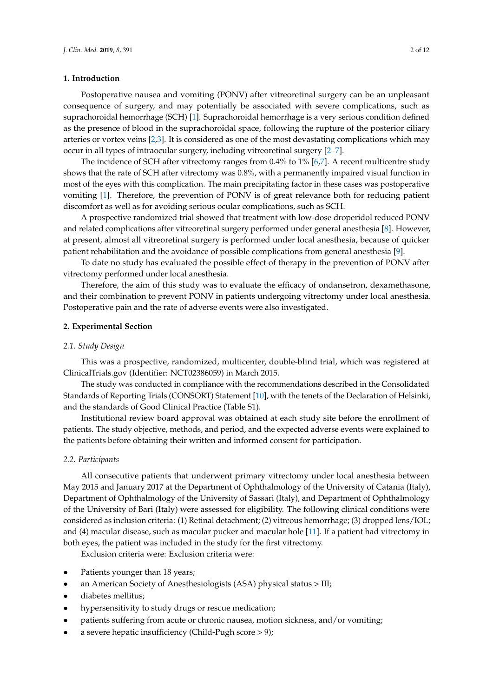# **1. Introduction**

Postoperative nausea and vomiting (PONV) after vitreoretinal surgery can be an unpleasant consequence of surgery, and may potentially be associated with severe complications, such as suprachoroidal hemorrhage (SCH) [\[1\]](#page-9-0). Suprachoroidal hemorrhage is a very serious condition defined as the presence of blood in the suprachoroidal space, following the rupture of the posterior ciliary arteries or vortex veins [\[2](#page-9-1)[,3\]](#page-9-2). It is considered as one of the most devastating complications which may occur in all types of intraocular surgery, including vitreoretinal surgery [\[2–](#page-9-1)[7\]](#page-10-0).

The incidence of SCH after vitrectomy ranges from 0.4% to 1% [\[6](#page-10-1)[,7\]](#page-10-0). A recent multicentre study shows that the rate of SCH after vitrectomy was 0.8%, with a permanently impaired visual function in most of the eyes with this complication. The main precipitating factor in these cases was postoperative vomiting [\[1\]](#page-9-0). Therefore, the prevention of PONV is of great relevance both for reducing patient discomfort as well as for avoiding serious ocular complications, such as SCH.

A prospective randomized trial showed that treatment with low-dose droperidol reduced PONV and related complications after vitreoretinal surgery performed under general anesthesia [\[8\]](#page-10-2). However, at present, almost all vitreoretinal surgery is performed under local anesthesia, because of quicker patient rehabilitation and the avoidance of possible complications from general anesthesia [\[9\]](#page-10-3).

To date no study has evaluated the possible effect of therapy in the prevention of PONV after vitrectomy performed under local anesthesia.

Therefore, the aim of this study was to evaluate the efficacy of ondansetron, dexamethasone, and their combination to prevent PONV in patients undergoing vitrectomy under local anesthesia. Postoperative pain and the rate of adverse events were also investigated.

## **2. Experimental Section**

## *2.1. Study Design*

This was a prospective, randomized, multicenter, double-blind trial, which was registered at ClinicalTrials.gov (Identifier: NCT02386059) in March 2015.

The study was conducted in compliance with the recommendations described in the Consolidated Standards of Reporting Trials (CONSORT) Statement [\[10\]](#page-10-4), with the tenets of the Declaration of Helsinki, and the standards of Good Clinical Practice (Table S1).

Institutional review board approval was obtained at each study site before the enrollment of patients. The study objective, methods, and period, and the expected adverse events were explained to the patients before obtaining their written and informed consent for participation.

#### *2.2. Participants*

All consecutive patients that underwent primary vitrectomy under local anesthesia between May 2015 and January 2017 at the Department of Ophthalmology of the University of Catania (Italy), Department of Ophthalmology of the University of Sassari (Italy), and Department of Ophthalmology of the University of Bari (Italy) were assessed for eligibility. The following clinical conditions were considered as inclusion criteria: (1) Retinal detachment; (2) vitreous hemorrhage; (3) dropped lens/IOL; and (4) macular disease, such as macular pucker and macular hole [\[11\]](#page-10-5). If a patient had vitrectomy in both eyes, the patient was included in the study for the first vitrectomy.

Exclusion criteria were: Exclusion criteria were:

- Patients younger than 18 years;
- an American Society of Anesthesiologists (ASA) physical status > III;
- diabetes mellitus;
- hypersensitivity to study drugs or rescue medication;
- patients suffering from acute or chronic nausea, motion sickness, and/or vomiting;
- a severe hepatic insufficiency (Child-Pugh score > 9);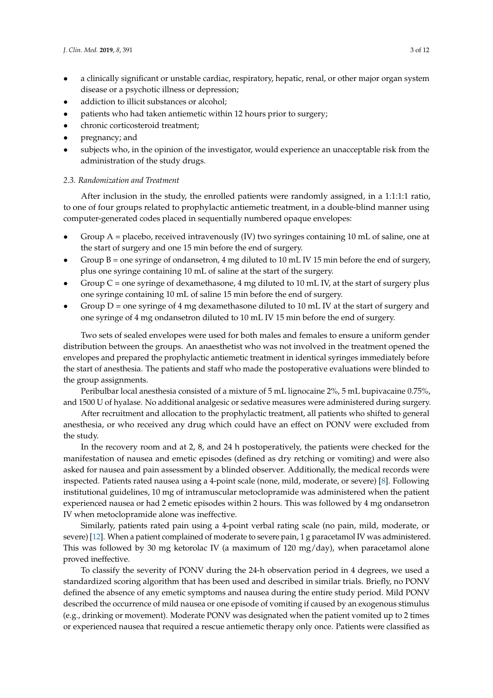- a clinically significant or unstable cardiac, respiratory, hepatic, renal, or other major organ system disease or a psychotic illness or depression;
- addiction to illicit substances or alcohol;
- patients who had taken antiemetic within 12 hours prior to surgery;
- chronic corticosteroid treatment;
- pregnancy; and
- subjects who, in the opinion of the investigator, would experience an unacceptable risk from the administration of the study drugs.

## *2.3. Randomization and Treatment*

After inclusion in the study, the enrolled patients were randomly assigned, in a 1:1:1:1 ratio, to one of four groups related to prophylactic antiemetic treatment, in a double-blind manner using computer-generated codes placed in sequentially numbered opaque envelopes:

- Group A = placebo, received intravenously (IV) two syringes containing 10 mL of saline, one at the start of surgery and one 15 min before the end of surgery.
- Group B = one syringe of ondansetron, 4 mg diluted to 10 mL IV 15 min before the end of surgery, plus one syringe containing 10 mL of saline at the start of the surgery.
- Group  $C$  = one syringe of dexamethasone, 4 mg diluted to 10 mL IV, at the start of surgery plus one syringe containing 10 mL of saline 15 min before the end of surgery.
- Group  $D =$  one syringe of 4 mg dexamethasone diluted to 10 mL IV at the start of surgery and one syringe of 4 mg ondansetron diluted to 10 mL IV 15 min before the end of surgery.

Two sets of sealed envelopes were used for both males and females to ensure a uniform gender distribution between the groups. An anaesthetist who was not involved in the treatment opened the envelopes and prepared the prophylactic antiemetic treatment in identical syringes immediately before the start of anesthesia. The patients and staff who made the postoperative evaluations were blinded to the group assignments.

Peribulbar local anesthesia consisted of a mixture of 5 mL lignocaine 2%, 5 mL bupivacaine 0.75%, and 1500 U of hyalase. No additional analgesic or sedative measures were administered during surgery.

After recruitment and allocation to the prophylactic treatment, all patients who shifted to general anesthesia, or who received any drug which could have an effect on PONV were excluded from the study.

In the recovery room and at 2, 8, and 24 h postoperatively, the patients were checked for the manifestation of nausea and emetic episodes (defined as dry retching or vomiting) and were also asked for nausea and pain assessment by a blinded observer. Additionally, the medical records were inspected. Patients rated nausea using a 4-point scale (none, mild, moderate, or severe) [\[8\]](#page-10-2). Following institutional guidelines, 10 mg of intramuscular metoclopramide was administered when the patient experienced nausea or had 2 emetic episodes within 2 hours. This was followed by 4 mg ondansetron IV when metoclopramide alone was ineffective.

Similarly, patients rated pain using a 4-point verbal rating scale (no pain, mild, moderate, or severe) [\[12\]](#page-10-6). When a patient complained of moderate to severe pain, 1 g paracetamol IV was administered. This was followed by 30 mg ketorolac IV (a maximum of 120 mg/day), when paracetamol alone proved ineffective.

To classify the severity of PONV during the 24-h observation period in 4 degrees, we used a standardized scoring algorithm that has been used and described in similar trials. Briefly, no PONV defined the absence of any emetic symptoms and nausea during the entire study period. Mild PONV described the occurrence of mild nausea or one episode of vomiting if caused by an exogenous stimulus (e.g., drinking or movement). Moderate PONV was designated when the patient vomited up to 2 times or experienced nausea that required a rescue antiemetic therapy only once. Patients were classified as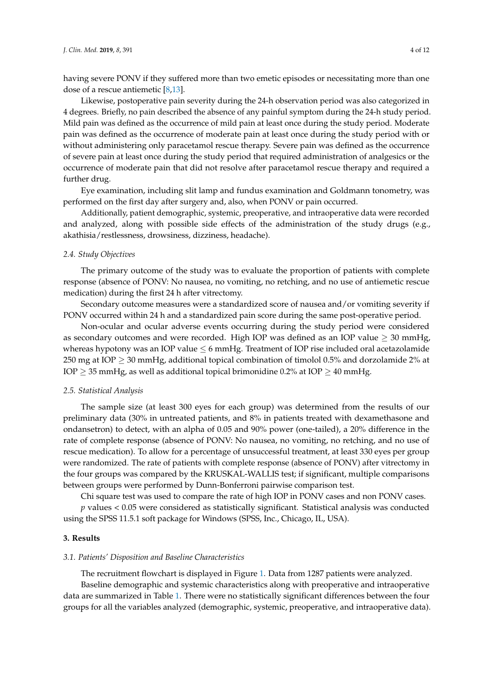having severe PONV if they suffered more than two emetic episodes or necessitating more than one dose of a rescue antiemetic [\[8](#page-10-2)[,13\]](#page-10-7).

Likewise, postoperative pain severity during the 24-h observation period was also categorized in 4 degrees. Briefly, no pain described the absence of any painful symptom during the 24-h study period. Mild pain was defined as the occurrence of mild pain at least once during the study period. Moderate pain was defined as the occurrence of moderate pain at least once during the study period with or without administering only paracetamol rescue therapy. Severe pain was defined as the occurrence of severe pain at least once during the study period that required administration of analgesics or the occurrence of moderate pain that did not resolve after paracetamol rescue therapy and required a further drug.

Eye examination, including slit lamp and fundus examination and Goldmann tonometry, was performed on the first day after surgery and, also, when PONV or pain occurred.

Additionally, patient demographic, systemic, preoperative, and intraoperative data were recorded and analyzed, along with possible side effects of the administration of the study drugs (e.g., akathisia/restlessness, drowsiness, dizziness, headache).

### *2.4. Study Objectives*

The primary outcome of the study was to evaluate the proportion of patients with complete response (absence of PONV: No nausea, no vomiting, no retching, and no use of antiemetic rescue medication) during the first 24 h after vitrectomy.

Secondary outcome measures were a standardized score of nausea and/or vomiting severity if PONV occurred within 24 h and a standardized pain score during the same post-operative period.

Non-ocular and ocular adverse events occurring during the study period were considered as secondary outcomes and were recorded. High IOP was defined as an IOP value  $\geq$  30 mmHg, whereas hypotony was an IOP value  $\leq 6$  mmHg. Treatment of IOP rise included oral acetazolamide 250 mg at IOP  $\geq$  30 mmHg, additional topical combination of timolol 0.5% and dorzolamide 2% at IOP  $\geq$  35 mmHg, as well as additional topical brimonidine 0.2% at IOP  $\geq$  40 mmHg.

#### *2.5. Statistical Analysis*

The sample size (at least 300 eyes for each group) was determined from the results of our preliminary data (30% in untreated patients, and 8% in patients treated with dexamethasone and ondansetron) to detect, with an alpha of 0.05 and 90% power (one-tailed), a 20% difference in the rate of complete response (absence of PONV: No nausea, no vomiting, no retching, and no use of rescue medication). To allow for a percentage of unsuccessful treatment, at least 330 eyes per group were randomized. The rate of patients with complete response (absence of PONV) after vitrectomy in the four groups was compared by the KRUSKAL-WALLIS test; if significant, multiple comparisons between groups were performed by Dunn-Bonferroni pairwise comparison test.

Chi square test was used to compare the rate of high IOP in PONV cases and non PONV cases.

*p* values < 0.05 were considered as statistically significant. Statistical analysis was conducted using the SPSS 11.5.1 soft package for Windows (SPSS, Inc., Chicago, IL, USA).

# **3. Results**

## *3.1. Patients' Disposition and Baseline Characteristics*

The recruitment flowchart is displayed in Figure [1.](#page-5-0) Data from 1287 patients were analyzed. Baseline demographic and systemic characteristics along with preoperative and intraoperative data are summarized in Table [1.](#page-4-0) There were no statistically significant differences between the four groups for all the variables analyzed (demographic, systemic, preoperative, and intraoperative data).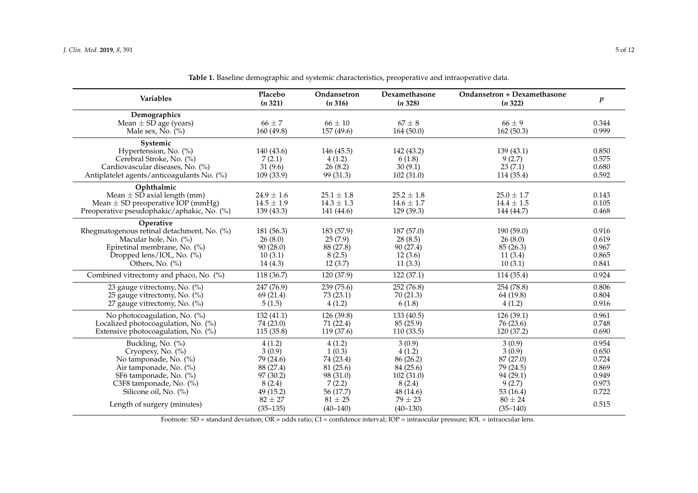| <b>Variables</b>                           | Placebo<br>(n 321) | Ondansetron<br>(n 316) | Dexamethasone<br>(n328) | Ondansetron + Dexamethasone<br>(n322) | $\boldsymbol{p}$ |
|--------------------------------------------|--------------------|------------------------|-------------------------|---------------------------------------|------------------|
| Demographics                               |                    |                        |                         |                                       |                  |
| Mean $\pm$ SD age (years)                  | $66 \pm 7$         | $66 \pm 10$            | $67 \pm 8$              | $66 \pm 9$                            | 0.344            |
| Male sex, $\overline{N}$ o. $(\%)$         | 160 (49.8)         | 157 (49.6)             | 164(50.0)               | 162(50.3)                             | 0.999            |
| Systemic                                   |                    |                        |                         |                                       |                  |
| Hypertension, No. (%)                      | 140 (43.6)         | 146 (45.5)             | 142 (43.2)              | 139(43.1)                             | 0.850            |
| Cerebral Stroke, No. (%)                   | 7(2.1)             | 4(1.2)                 | 6(1.8)                  | 9(2.7)                                | 0.575            |
| Cardiovascular diseases, No. (%)           | 31(9.6)            | 26(8.2)                | 30(9.1)                 | 23(7.1)                               | 0.680            |
| Antiplatelet agents/anticoagulants No. (%) | 109(33.9)          | 99 (31.3)              | 102(31.0)               | 114 (35.4)                            | 0.592            |
| Ophthalmic                                 |                    |                        |                         |                                       |                  |
| Mean $\pm$ SD axial length (mm)            | $24.9 \pm 1.6$     | $25.1 \pm 1.8$         | $25.2 \pm 1.8$          | $25.0 \pm 1.7$                        | 0.143            |
| Mean $\pm$ SD preoperative IOP (mmHg)      | $14.5 \pm 1.9$     | $14.3 \pm 1.3$         | $14.6 \pm 1.7$          | $14.4 \pm 1.5$                        | 0.105            |
| Preoperative pseudophakic/aphakic, No. (%) | 139(43.3)          | 141 (44.6)             | 129(39.3)               | 144 (44.7)                            | 0.468            |
| Operative                                  |                    |                        |                         |                                       |                  |
| Rhegmatogenous retinal detachment, No. (%) | 181 (56.3)         | 183 (57.9)             | 187 (57.0)              | 190(59.0)                             | 0.916            |
| Macular hole, No. (%)                      | 26(8.0)            | 25(7.9)                | 28(8.5)                 | 26(8.0)                               | 0.619            |
| Epiretinal membrane, No. (%)               | 90(28.0)           | 88 (27.8)              | 90 (27.4)               | 85 (26.3)                             | 0.967            |
| Dropped lens/IOL, No. (%)                  | 10(3.1)            | 8(2.5)                 | 12(3.6)                 | 11(3.4)                               | 0.865            |
| Others, No. $(\%)$                         | 14(4.3)            | 12(3.7)                | 11(3.3)                 | 10(3.1)                               | 0.841            |
| Combined vitrectomy and phaco, No. (%)     | 118 (36.7)         | 120 (37.9)             | 122 (37.1)              | 114 (35.4)                            | 0.924            |
| 23 gauge vitrectomy, No. (%)               | 247 (76.9)         | 239 (75.6)             | 252 (76.8)              | 254 (78.8)                            | 0.806            |
| 25 gauge vitrectomy, No. (%)               | 69 (21.4)          | 73(23.1)               | 70(21.3)                | 64 (19.8)                             | 0.804            |
| 27 gauge vitrectomy, No. (%)               | 5(1.5)             | 4(1.2)                 | 6(1.8)                  | 4(1.2)                                | 0.916            |
| No photocoagulation, No. (%)               | 132(41.1)          | 126 (39.8)             | 133 (40.5)              | 126 (39.1)                            | 0.961            |
| Localized photocoagulation, No. (%)        | 74 (23.0)          | 71 (22.4)              | 85(25.9)                | 76 (23.6)                             | 0.748            |
| Extensive photocoagulation, No. (%)        | 115 (35.8)         | 119 (37.6)             | 110 (33.5)              | 120 (37.2)                            | 0.690            |
| Buckling, No. (%)                          | 4(1.2)             | 4(1.2)                 | 3(0.9)                  | 3(0.9)                                | 0.954            |
| Cryopexy, No. (%)                          | 3(0.9)             | 1(0.3)                 | 4(1.2)                  | 3(0.9)                                | 0.650            |
| No tamponade, No. (%)                      | 79 (24.6)          | 74 (23.4)              | 86 (26.2)               | 87 (27.0)                             | 0.724            |
| Air tamponade, No. (%)                     | 88 (27.4)          | 81 (25.6)              | 84 (25.6)               | 79 (24.5)                             | 0.869            |
| SF6 tamponade, No. (%)                     | 97 (30.2)          | 98 (31.0)              | 102(31.0)               | 94 (29.1)                             | 0.949            |
| C3F8 tamponade, No. (%)                    | 8(2.4)             | 7(2.2)                 | 8(2.4)                  | 9(2.7)                                | 0.973            |
| Silicone oil, No. (%)                      | 49 (15.2)          | 56 (17.7)              | 48 (14.6)               | 53 $(16.4)$                           | 0.722            |
|                                            | $82 \pm 27$        | $81 \pm 25$            | $79 \pm 23$             | $80 \pm 24$                           | 0.515            |
| Length of surgery (minutes)                | $(35-135)$         | $(40 - 140)$           | $(40 - 130)$            | $(35 - 140)$                          |                  |

**Table 1.** Baseline demographic and systemic characteristics, preoperative and intraoperative data.

<span id="page-4-0"></span>Footnote: SD = standard deviation; OR = odds ratio; CI = confidence interval; IOP = intraocular pressure; IOL = intraocular lens.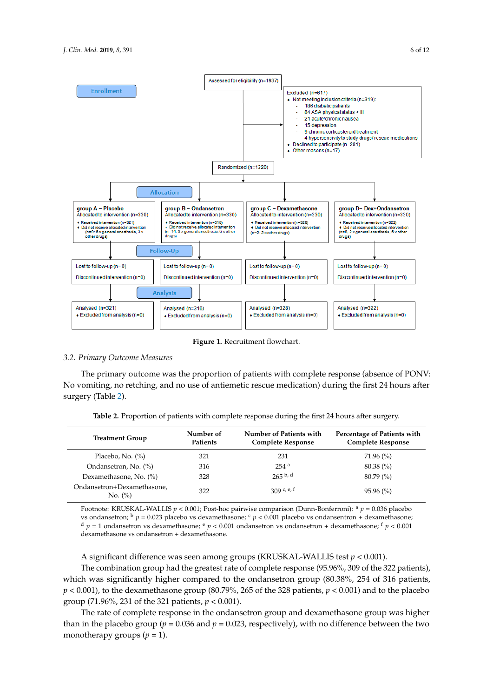<span id="page-5-0"></span>

**Figure 1.** Recruitment flowchart. **Figure 1.** Recruitment flowchart.

# *3.2. Primary Outcome Measures*

**g**, no retching, and no use of **Ondansetron (***n* **316)** <u>.</u><br>Die modicatio **(***n* **328)** No vomiting, no retching, and no use of antiemetic rescue medication) during the first 24 hours after  $\Delta$ **Demographics**  $\Delta$ The primary outcome was the proportion of patients with complete response (absence of PONV: surgery (Table [2\)](#page-5-1).

**Table 2.** Proportion of patients with complete response during the first 24 hours after surgery.

<span id="page-5-1"></span>

| <b>Treatment Group</b>                | Number of<br>Patients | Number of Patients with<br><b>Complete Response</b> | Percentage of Patients with<br><b>Complete Response</b> |
|---------------------------------------|-----------------------|-----------------------------------------------------|---------------------------------------------------------|
| Placebo, No. $(\%)$                   | 321                   | 231                                                 | $71.96\,(%)$                                            |
| Ondansetron, No. (%)                  | 316                   | $254$ <sup>a</sup>                                  | $80.38\,(%)$                                            |
| Dexamethasone, No. (%)                | 328                   | $265$ b, d                                          | $80.79\ (%)$                                            |
| Ondansetron+Dexamethasone,<br>No. (%) | 322                   | 309 c, e, f                                         | $95.96\,(%)$                                            |

Footnote: KRUSKAL-WALLIS *p* < 0.001; Post-hoc pairwise comparison (Dunn-Bonferroni): <sup>a</sup> *p* = 0.036 placebo 1.6 25.1  $\mu$  = 0.023 placebo vs dexamethasone; c *p* < 0.001 placebo vs ondansentron + dexamethasone; c *p* < 0.001 placebo vs ondansentron + dexamethasone;  $\frac{d}{p}$  p = 1 ondansetron vs dexamethasone;  $\frac{e}{p}$  < 0.001 ondansetron vs ondansetron + dexamethasone;  $\frac{f}{p}$  < 0.001 dexamethasone vs ondansetron + dexamethasone. dexamethasone vs ondansetron + dexamethasone.

A significant difference was seen among groups (KRUSKAL-WALLIS test  $p < 0.001$ ). **Example 1980** Continuing groups (integrate the set of the set of the set of the set of the set of the set of the set of the set of the set of the set of the set of the set of the set of the set of the set of the set of th

The combination group had the greatest rate of complete response (95.96%, 309 of the 322 patients), which was significantly higher compared to the ondansetron group (80.38%, 254 of 316 patients,  $p < 0.001$ ), to the dexamethasone group (80.79%, 265 of the 328 patients,  $p < 0.001$ ) and to the placebo group (71.96%, 231 of the 321 patients,  $p < 0.001$ ).  $\mathcal{L}$   $\mathcal{L}$   $\mathcal{L}$   $\mathcal{L}$   $\mathcal{L}$  and  $\mathcal{L}$   $\mathcal{L}$  (3.5) 12 (3.5) 12 (3.6) 11 (3.6) 12 (3.6) 13 (3.6) 13 (3.6) 13 (3.6) 13 (3.6) 13 (3.6) 13 (3.6) 13 (3.6) 13 (3.6) 13 (3.6) 13 (3.6) 13 (3.6) 13 (3.6) 13 (

The rate of complete response in the ondansetron group and dexamethasone group was higher than in the placebo group ( $p = 0.036$  and  $p = 0.023$ , respectively), with no difference between the two<br>monotherapy groups ( $p = 1$ ). monotherapy groups  $(p = 1)$ .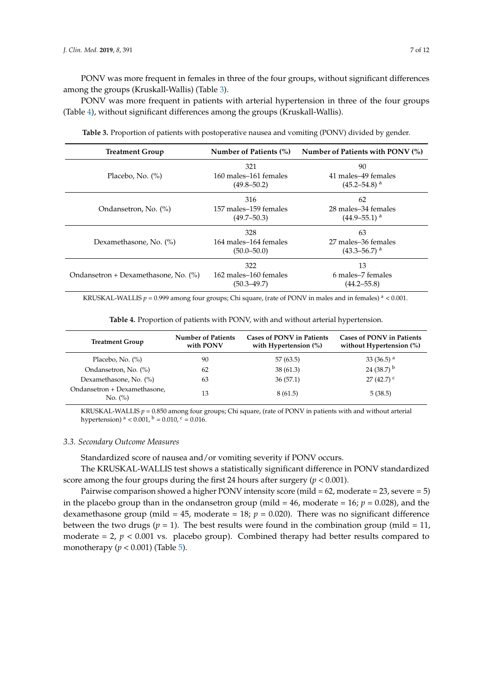PONV was more frequent in females in three of the four groups, without significant differences among the groups (Kruskall-Wallis) (Table [3\)](#page-6-0).

PONV was more frequent in patients with arterial hypertension in three of the four groups (Table [4\)](#page-6-1), without significant differences among the groups (Kruskall-Wallis).

<span id="page-6-0"></span>

| <b>Treatment Group</b>               | Number of Patients (%) | Number of Patients with PONV $(\%)$ |  |
|--------------------------------------|------------------------|-------------------------------------|--|
|                                      | 321                    | 90                                  |  |
| Placebo, No. $(\%)$                  | 160 males–161 females  | 41 males-49 females                 |  |
|                                      | $(49.8 - 50.2)$        | $(45.2 - 54.8)^{a}$                 |  |
|                                      | 316                    | 62                                  |  |
| Ondansetron, No. (%)                 | 157 males-159 females  | 28 males-34 females                 |  |
|                                      | $(49.7 - 50.3)$        | $(44.9 - 55.1)$ <sup>a</sup>        |  |
|                                      | 328                    | 63                                  |  |
| Dexamethasone, No. (%)               | 164 males-164 females  | 27 males-36 females                 |  |
|                                      | $(50.0 - 50.0)$        | $(43.3 - 56.7)$ <sup>a</sup>        |  |
|                                      | 322                    | 13                                  |  |
| Ondansetron + Dexamethasone, No. (%) | 162 males-160 females  | 6 males–7 females                   |  |
|                                      | $(50.3 - 49.7)$        | $(44.2 - 55.8)$                     |  |
|                                      |                        |                                     |  |

**Table 3.** Proportion of patients with postoperative nausea and vomiting (PONV) divided by gender.

KRUSKAL-WALLIS  $p = 0.999$  among four groups; Chi square, (rate of PONV in males and in females)  $a < 0.001$ .

**Table 4.** Proportion of patients with PONV, with and without arterial hypertension.

<span id="page-6-1"></span>

| <b>Treatment Group</b>                  | <b>Number of Patients</b><br>with PONV | <b>Cases of PONV in Patients</b><br>with Hypertension $(\%)$ | <b>Cases of PONV in Patients</b><br>without Hypertension $(\%)$ |
|-----------------------------------------|----------------------------------------|--------------------------------------------------------------|-----------------------------------------------------------------|
| Placebo, No. $(\%)$                     | 90                                     | 57 (63.5)                                                    | 33 (36.5) $^{\rm a}$                                            |
| Ondansetron, No. (%)                    | 62                                     | 38(61.3)                                                     | 24 (38.7) $^{\rm b}$                                            |
| Dexamethasone, No. (%)                  | 63                                     | 36(57.1)                                                     | $27(42.7)$ <sup>c</sup>                                         |
| Ondansetron + Dexamethasone,<br>No. (%) | 13                                     | 8(61.5)                                                      | 5(38.5)                                                         |

KRUSKAL-WALLIS  $p = 0.850$  among four groups; Chi square, (rate of PONV in patients with and without arterial hypertension)  $a < 0.001$ ,  $b = 0.010$ ,  $c = 0.016$ .

# *3.3. Secondary Outcome Measures*

Standardized score of nausea and/or vomiting severity if PONV occurs.

The KRUSKAL-WALLIS test shows a statistically significant difference in PONV standardized score among the four groups during the first 24 hours after surgery (*p* < 0.001).

Pairwise comparison showed a higher PONV intensity score (mild = 62, moderate = 23, severe = 5) in the placebo group than in the ondansetron group (mild  $= 46$ , moderate  $= 16$ ;  $p = 0.028$ ), and the dexamethasone group (mild  $= 45$ , moderate  $= 18$ ;  $p = 0.020$ ). There was no significant difference between the two drugs ( $p = 1$ ). The best results were found in the combination group (mild = 11, moderate  $= 2$ ,  $p < 0.001$  vs. placebo group). Combined therapy had better results compared to monotherapy (*p* < 0.001) (Table [5\)](#page-7-0).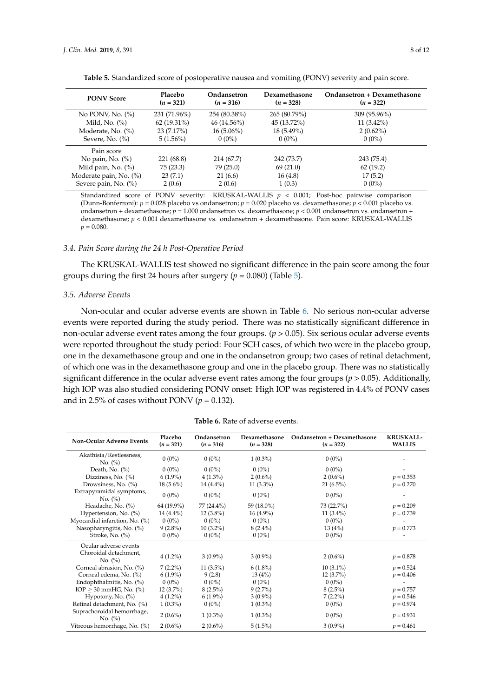<span id="page-7-0"></span>

| <b>PONV Score</b>      | <b>Placebo</b><br>$(n = 321)$ | Ondansetron<br>$(n = 316)$ | Dexamethasone<br>$(n = 328)$ | Ondansetron + Dexamethasone<br>$(n = 322)$ |
|------------------------|-------------------------------|----------------------------|------------------------------|--------------------------------------------|
| No PONV, No. $(\%)$    | 231 (71.96%)                  | 254 (80.38%)               | 265 (80.79%)                 | 309 (95.96%)                               |
| Mild, No. $(\%)$       | $62(19.31\%)$                 | $46(14.56\%)$              | 45 (13.72%)                  | $11(3.42\%)$                               |
| Moderate, No. (%)      | 23(7.17%)                     | $16(5.06\%)$               | $18(5.49\%)$                 | $2(0.62\%)$                                |
| Severe, No. $(\%)$     | $5(1.56\%)$                   | $0(0\%)$                   | $0(0\%)$                     | $0(0\%)$                                   |
| Pain score             |                               |                            |                              |                                            |
| No pain, No. $(\%)$    | 221 (68.8)                    | 214 (67.7)                 | 242 (73.7)                   | 243 (75.4)                                 |
| Mild pain, No. $(\%)$  | 75(23.3)                      | 79(25.0)                   | 69(21.0)                     | 62(19.2)                                   |
| Moderate pain, No. (%) | 23(7.1)                       | 21(6.6)                    | 16(4.8)                      | 17(5.2)                                    |
| Severe pain, No. (%)   | 2(0.6)                        | 2(0.6)                     | 1(0.3)                       | $0(0\%)$                                   |

Table 5. Standardized score of postoperative nausea and vomiting (PONV) severity and pain score.

Standardized score of PONV severity: KRUSKAL-WALLIS *p* < 0.001; Post-hoc pairwise comparison (Dunn-Bonferroni): *p* = 0.028 placebo vs ondansetron; *p* = 0.020 placebo vs. dexamethasone; *p* < 0.001 placebo vs. ondansetron + dexamethasone; *p* = 1.000 ondansetron vs. dexamethasone; *p* < 0.001 ondansetron vs. ondansetron + dexamethasone; *p* < 0.001 dexamethasone vs. ondansetron + dexamethasone. Pain score: KRUSKAL-WALLIS  $p = 0.080$ .

## *3.4. Pain Score during the 24 h Post-Operative Period*

The KRUSKAL-WALLIS test showed no significant difference in the pain score among the four groups during the first 24 hours after surgery  $(p = 0.080)$  (Table [5\)](#page-7-0).

#### *3.5. Adverse Events*

Non-ocular and ocular adverse events are shown in Table [6.](#page-7-1) No serious non-ocular adverse events were reported during the study period. There was no statistically significant difference in non-ocular adverse event rates among the four groups. (*p* > 0.05). Six serious ocular adverse events were reported throughout the study period: Four SCH cases, of which two were in the placebo group, one in the dexamethasone group and one in the ondansetron group; two cases of retinal detachment, of which one was in the dexamethasone group and one in the placebo group. There was no statistically significant difference in the ocular adverse event rates among the four groups ( $p > 0.05$ ). Additionally, high IOP was also studied considering PONV onset: High IOP was registered in 4.4% of PONV cases and in 2.5% of cases without PONV ( $p = 0.132$ ).

<span id="page-7-1"></span>

| <b>Non-Ocular Adverse Events</b>      | Placebo<br>$(n = 321)$ | Ondansetron<br>$(n = 316)$ | Dexamethasone<br>$(n = 328)$ | Ondansetron + Dexamethasone<br>$(n = 322)$ | <b>KRUSKALL-</b><br><b>WALLIS</b> |
|---------------------------------------|------------------------|----------------------------|------------------------------|--------------------------------------------|-----------------------------------|
| Akathisia/Restlessness,<br>No. (%)    | $0(0\%)$               | $0(0\%)$                   | $1(0.3\%)$                   | $0(0\%)$                                   |                                   |
| Death, No. $(\%)$                     | $0(0\%)$               | $0(0\%)$                   | $0(0\%)$                     | $0(0\%)$                                   |                                   |
| Dizziness, No. (%)                    | $6(1.9\%)$             | $4(1.3\%)$                 | $2(0.6\%)$                   | $2(0.6\%)$                                 | $p = 0.353$                       |
| Drowsiness, No. (%)                   | $18(5.6\%)$            | $14(4.4\%)$                | $11(3.3\%)$                  | $21(6.5\%)$                                | $p = 0.270$                       |
| Extrapyramidal symptoms,<br>No. (%)   | $0(0\%)$               | $0(0\%)$                   | $0(0\%)$                     | $0(0\%)$                                   |                                   |
| Headache, No. (%)                     | 64 (19.9%)             | 77 (24.4%)                 | 59 (18.0%)                   | 73 (22.7%)                                 | $p = 0.209$                       |
| Hypertension, No. (%)                 | $14(4.4\%)$            | $12(3.8\%)$                | $16(4.9\%)$                  | 11 $(3.4\%)$                               | $p = 0.739$                       |
| Myocardial infarction, No. (%)        | $0(0\%)$               | $0(0\%)$                   | $0(0\%)$                     | $0(0\%)$                                   |                                   |
| Nasopharyngitis, No. (%)              | $9(2.8\%)$             | $10(3.2\%)$                | $8(2.4\%)$                   | 13(4%)                                     | $p = 0.773$                       |
| Stroke, No. (%)                       | $0(0\%)$               | $0(0\%)$                   | $0(0\%)$                     | $0(0\%)$                                   |                                   |
| Ocular adverse events                 |                        |                            |                              |                                            |                                   |
| Choroidal detachment,<br>No. (%)      | $4(1.2\%)$             | $3(0.9\%)$                 | $3(0.9\%)$                   | $2(0.6\%)$                                 | $p = 0.878$                       |
| Corneal abrasion, No. (%)             | $7(2.2\%)$             | $11(3.5\%)$                | $6(1.8\%)$                   | $10(3.1\%)$                                | $p = 0.524$                       |
| Corneal edema, No. (%)                | $6(1.9\%)$             | 9(2.8)                     | 13(4%)                       | $12(3.7\%)$                                | $p = 0.406$                       |
| Endophthalmitis, No. (%)              | $0(0\%)$               | $0(0\%)$                   | $0(0\%)$                     | $0(0\%)$                                   |                                   |
| IOP $\geq$ 30 mmHG, No. (%)           | $12(3.7\%)$            | $8(2.5\%)$                 | $9(2.7\%)$                   | $8(2.5\%)$                                 | $p = 0.757$                       |
| Hypotony, No. (%)                     | $4(1.2\%)$             | $6(1.9\%)$                 | $3(0.9\%)$                   | $7(2.2\%)$                                 | $p = 0.546$                       |
| Retinal detachment, No. (%)           | $1(0.3\%)$             | $0(0\%)$                   | $1(0.3\%)$                   | $0(0\%)$                                   | $p = 0.974$                       |
| Suprachoroidal hemorrhage,<br>No. (%) | $2(0.6\%)$             | $1(0.3\%)$                 | $1(0.3\%)$                   | $0(0\%)$                                   | $p = 0.931$                       |
| Vitreous hemorrhage, No. (%)          | $2(0.6\%)$             | $2(0.6\%)$                 | $5(1.5\%)$                   | $3(0.9\%)$                                 | $p = 0.461$                       |

**Table 6.** Rate of adverse events.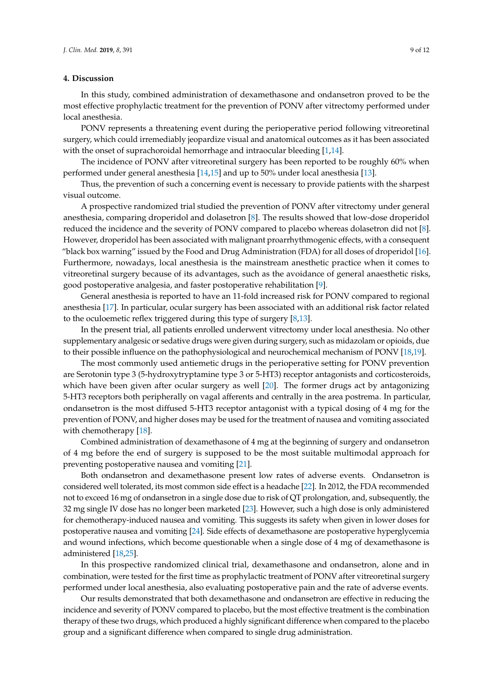# **4. Discussion**

In this study, combined administration of dexamethasone and ondansetron proved to be the most effective prophylactic treatment for the prevention of PONV after vitrectomy performed under local anesthesia.

PONV represents a threatening event during the perioperative period following vitreoretinal surgery, which could irremediably jeopardize visual and anatomical outcomes as it has been associated with the onset of suprachoroidal hemorrhage and intraocular bleeding [\[1](#page-9-0)[,14\]](#page-10-8).

The incidence of PONV after vitreoretinal surgery has been reported to be roughly 60% when performed under general anesthesia [\[14,](#page-10-8)[15\]](#page-10-9) and up to 50% under local anesthesia [\[13\]](#page-10-7).

Thus, the prevention of such a concerning event is necessary to provide patients with the sharpest visual outcome.

A prospective randomized trial studied the prevention of PONV after vitrectomy under general anesthesia, comparing droperidol and dolasetron [\[8\]](#page-10-2). The results showed that low-dose droperidol reduced the incidence and the severity of PONV compared to placebo whereas dolasetron did not [\[8\]](#page-10-2). However, droperidol has been associated with malignant proarrhythmogenic effects, with a consequent "black box warning" issued by the Food and Drug Administration (FDA) for all doses of droperidol [\[16\]](#page-10-10). Furthermore, nowadays, local anesthesia is the mainstream anesthetic practice when it comes to vitreoretinal surgery because of its advantages, such as the avoidance of general anaesthetic risks, good postoperative analgesia, and faster postoperative rehabilitation [\[9\]](#page-10-3).

General anesthesia is reported to have an 11-fold increased risk for PONV compared to regional anesthesia [\[17\]](#page-10-11). In particular, ocular surgery has been associated with an additional risk factor related to the oculoemetic reflex triggered during this type of surgery [\[8](#page-10-2)[,13\]](#page-10-7).

In the present trial, all patients enrolled underwent vitrectomy under local anesthesia. No other supplementary analgesic or sedative drugs were given during surgery, such as midazolam or opioids, due to their possible influence on the pathophysiological and neurochemical mechanism of PONV [\[18](#page-10-12)[,19\]](#page-10-13).

The most commonly used antiemetic drugs in the perioperative setting for PONV prevention are Serotonin type 3 (5-hydroxytryptamine type 3 or 5-HT3) receptor antagonists and corticosteroids, which have been given after ocular surgery as well [\[20\]](#page-10-14). The former drugs act by antagonizing 5-HT3 receptors both peripherally on vagal afferents and centrally in the area postrema. In particular, ondansetron is the most diffused 5-HT3 receptor antagonist with a typical dosing of 4 mg for the prevention of PONV, and higher doses may be used for the treatment of nausea and vomiting associated with chemotherapy [\[18\]](#page-10-12).

Combined administration of dexamethasone of 4 mg at the beginning of surgery and ondansetron of 4 mg before the end of surgery is supposed to be the most suitable multimodal approach for preventing postoperative nausea and vomiting [\[21\]](#page-10-15).

Both ondansetron and dexamethasone present low rates of adverse events. Ondansetron is considered well tolerated, its most common side effect is a headache [\[22\]](#page-10-16). In 2012, the FDA recommended not to exceed 16 mg of ondansetron in a single dose due to risk of QT prolongation, and, subsequently, the 32 mg single IV dose has no longer been marketed [\[23\]](#page-10-17). However, such a high dose is only administered for chemotherapy-induced nausea and vomiting. This suggests its safety when given in lower doses for postoperative nausea and vomiting [\[24\]](#page-10-18). Side effects of dexamethasone are postoperative hyperglycemia and wound infections, which become questionable when a single dose of 4 mg of dexamethasone is administered [\[18,](#page-10-12)[25\]](#page-10-19).

In this prospective randomized clinical trial, dexamethasone and ondansetron, alone and in combination, were tested for the first time as prophylactic treatment of PONV after vitreoretinal surgery performed under local anesthesia, also evaluating postoperative pain and the rate of adverse events.

Our results demonstrated that both dexamethasone and ondansetron are effective in reducing the incidence and severity of PONV compared to placebo, but the most effective treatment is the combination therapy of these two drugs, which produced a highly significant difference when compared to the placebo group and a significant difference when compared to single drug administration.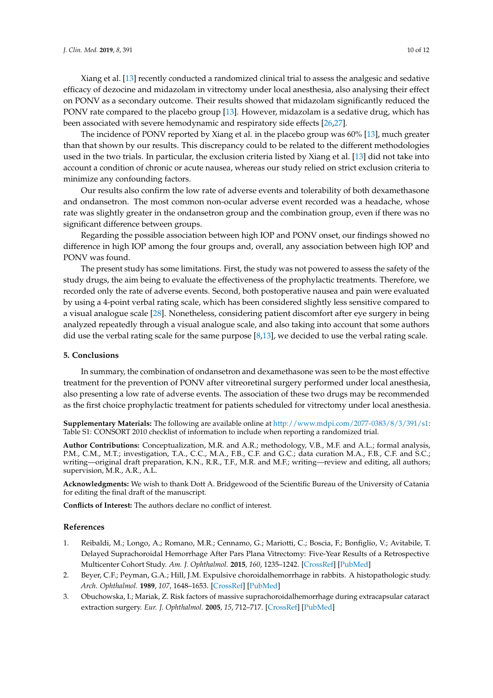Xiang et al. [\[13\]](#page-10-7) recently conducted a randomized clinical trial to assess the analgesic and sedative efficacy of dezocine and midazolam in vitrectomy under local anesthesia, also analysing their effect on PONV as a secondary outcome. Their results showed that midazolam significantly reduced the PONV rate compared to the placebo group [\[13\]](#page-10-7). However, midazolam is a sedative drug, which has been associated with severe hemodynamic and respiratory side effects [\[26](#page-10-20)[,27\]](#page-11-0).

The incidence of PONV reported by Xiang et al. in the placebo group was 60% [\[13\]](#page-10-7), much greater than that shown by our results. This discrepancy could to be related to the different methodologies used in the two trials. In particular, the exclusion criteria listed by Xiang et al. [\[13\]](#page-10-7) did not take into account a condition of chronic or acute nausea, whereas our study relied on strict exclusion criteria to minimize any confounding factors.

Our results also confirm the low rate of adverse events and tolerability of both dexamethasone and ondansetron. The most common non-ocular adverse event recorded was a headache, whose rate was slightly greater in the ondansetron group and the combination group, even if there was no significant difference between groups.

Regarding the possible association between high IOP and PONV onset, our findings showed no difference in high IOP among the four groups and, overall, any association between high IOP and PONV was found.

The present study has some limitations. First, the study was not powered to assess the safety of the study drugs, the aim being to evaluate the effectiveness of the prophylactic treatments. Therefore, we recorded only the rate of adverse events. Second, both postoperative nausea and pain were evaluated by using a 4-point verbal rating scale, which has been considered slightly less sensitive compared to a visual analogue scale [\[28\]](#page-11-1). Nonetheless, considering patient discomfort after eye surgery in being analyzed repeatedly through a visual analogue scale, and also taking into account that some authors did use the verbal rating scale for the same purpose [\[8,](#page-10-2)[13\]](#page-10-7), we decided to use the verbal rating scale.

#### **5. Conclusions**

In summary, the combination of ondansetron and dexamethasone was seen to be the most effective treatment for the prevention of PONV after vitreoretinal surgery performed under local anesthesia, also presenting a low rate of adverse events. The association of these two drugs may be recommended as the first choice prophylactic treatment for patients scheduled for vitrectomy under local anesthesia.

**Supplementary Materials:** The following are available online at [http://www.mdpi.com/2077-0383/8/3/391/s1:](http://www.mdpi.com/2077-0383/8/3/391/s1) Table S1: CONSORT 2010 checklist of information to include when reporting a randomized trial.

**Author Contributions:** Conceptualization, M.R. and A.R.; methodology, V.B., M.F. and A.L.; formal analysis, P.M., C.M., M.T.; investigation, T.A., C.C., M.A., F.B., C.F. and G.C.; data curation M.A., F.B., C.F. and S.C.; writing—original draft preparation, K.N., R.R., T.F., M.R. and M.F.; writing—review and editing, all authors; supervision, M.R., A.R., A.L.

**Acknowledgments:** We wish to thank Dott A. Bridgewood of the Scientific Bureau of the University of Catania for editing the final draft of the manuscript.

**Conflicts of Interest:** The authors declare no conflict of interest.

#### **References**

- <span id="page-9-0"></span>1. Reibaldi, M.; Longo, A.; Romano, M.R.; Cennamo, G.; Mariotti, C.; Boscia, F.; Bonfiglio, V.; Avitabile, T. Delayed Suprachoroidal Hemorrhage After Pars Plana Vitrectomy: Five-Year Results of a Retrospective Multicenter Cohort Study. *Am. J. Ophthalmol.* **2015**, *160*, 1235–1242. [\[CrossRef\]](http://dx.doi.org/10.1016/j.ajo.2015.08.035) [\[PubMed\]](http://www.ncbi.nlm.nih.gov/pubmed/26344581)
- <span id="page-9-1"></span>2. Beyer, C.F.; Peyman, G.A.; Hill, J.M. Expulsive choroidalhemorrhage in rabbits. A histopathologic study. *Arch. Ophthalmol.* **1989**, *107*, 1648–1653. [\[CrossRef\]](http://dx.doi.org/10.1001/archopht.1989.01070020726036) [\[PubMed\]](http://www.ncbi.nlm.nih.gov/pubmed/2818287)
- <span id="page-9-2"></span>3. Obuchowska, I.; Mariak, Z. Risk factors of massive suprachoroidalhemorrhage during extracapsular cataract extraction surgery. *Eur. J. Ophthalmol.* **2005**, *15*, 712–717. [\[CrossRef\]](http://dx.doi.org/10.1177/112067210501500609) [\[PubMed\]](http://www.ncbi.nlm.nih.gov/pubmed/16329055)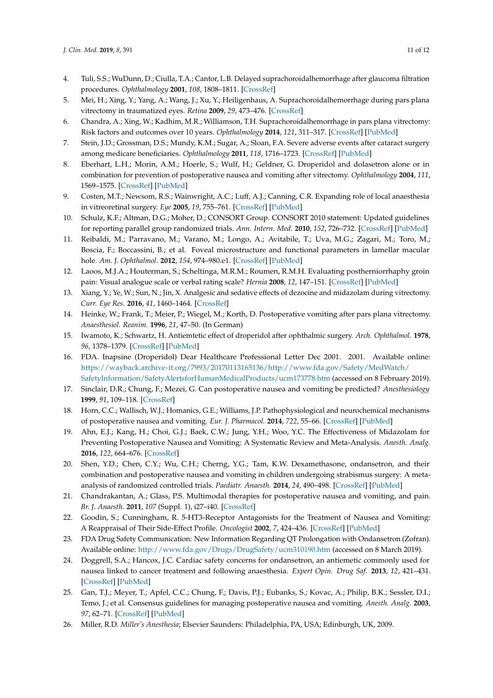- 4. Tuli, S.S.; WuDunn, D.; Ciulla, T.A.; Cantor, L.B. Delayed suprachoroidalhemorrhage after glaucoma filtration procedures. *Ophthalmology* **2001**, *108*, 1808–1811. [\[CrossRef\]](http://dx.doi.org/10.1016/S0161-6420(01)00763-1)
- 5. Mei, H.; Xing, Y.; Yang, A.; Wang, J.; Xu, Y.; Heiligenhaus, A. Suprachoroidalhemorrhage during pars plana vitrectomy in traumatized eyes. *Retina* **2009**, *29*, 473–476. [\[CrossRef\]](http://dx.doi.org/10.1097/IAE.0b013e318196b189)
- <span id="page-10-1"></span>6. Chandra, A.; Xing, W.; Kadhim, M.R.; Williamson, T.H. Suprachoroidalhemorrhage in pars plana vitrectomy: Risk factors and outcomes over 10 years. *Ophthalmology* **2014**, *121*, 311–317. [\[CrossRef\]](http://dx.doi.org/10.1016/j.ophtha.2013.06.021) [\[PubMed\]](http://www.ncbi.nlm.nih.gov/pubmed/23870800)
- <span id="page-10-0"></span>7. Stein, J.D.; Grossman, D.S.; Mundy, K.M.; Sugar, A.; Sloan, F.A. Severe adverse events after cataract surgery among medicare beneficiaries. *Ophthalmology* **2011**, *118*, 1716–1723. [\[CrossRef\]](http://dx.doi.org/10.1016/j.ophtha.2011.02.024) [\[PubMed\]](http://www.ncbi.nlm.nih.gov/pubmed/21640382)
- <span id="page-10-2"></span>8. Eberhart, L.H.; Morin, A.M.; Hoerle, S.; Wulf, H.; Geldner, G. Droperidol and dolasetron alone or in combination for prevention of postoperative nausea and vomiting after vitrectomy. *Ophthalmology* **2004**, *111*, 1569–1575. [\[CrossRef\]](http://dx.doi.org/10.1016/j.ophtha.2004.01.031) [\[PubMed\]](http://www.ncbi.nlm.nih.gov/pubmed/15288990)
- <span id="page-10-3"></span>9. Costen, M.T.; Newsom, R.S.; Wainwright, A.C.; Luff, A.J.; Canning, C.R. Expanding role of local anaesthesia in vitreoretinal surgery. *Eye* **2005**, *19*, 755–761. [\[CrossRef\]](http://dx.doi.org/10.1038/sj.eye.6701640) [\[PubMed\]](http://www.ncbi.nlm.nih.gov/pubmed/15389283)
- <span id="page-10-4"></span>10. Schulz, K.F.; Altman, D.G.; Moher, D.; CONSORT Group. CONSORT 2010 statement: Updated guidelines for reporting parallel group randomized trials. *Ann. Intern. Med.* **2010**, *152*, 726–732. [\[CrossRef\]](http://dx.doi.org/10.7326/0003-4819-152-11-201006010-00232) [\[PubMed\]](http://www.ncbi.nlm.nih.gov/pubmed/20335313)
- <span id="page-10-5"></span>11. Reibaldi, M.; Parravano, M.; Varano, M.; Longo, A.; Avitabile, T.; Uva, M.G.; Zagari, M.; Toro, M.; Boscia, F.; Boccassini, B.; et al. Foveal microstructure and functional parameters in lamellar macular hole. *Am. J. Ophthalmol.* **2012**, *154*, 974–980.e1. [\[CrossRef\]](http://dx.doi.org/10.1016/j.ajo.2012.06.008) [\[PubMed\]](http://www.ncbi.nlm.nih.gov/pubmed/22967862)
- <span id="page-10-6"></span>12. Laoos, M.J.A.; Houterman, S.; Scheltinga, M.R.M.; Roumen, R.M.H. Evaluating postherniorrhaphy groin pain: Visual analogue scale or verbal rating scale? *Hernia* **2008**, *12*, 147–151. [\[CrossRef\]](http://dx.doi.org/10.1007/s10029-007-0301-9) [\[PubMed\]](http://www.ncbi.nlm.nih.gov/pubmed/18004502)
- <span id="page-10-7"></span>13. Xiang, Y.; Ye, W.; Sun, N.; Jin, X. Analgesic and sedative effects of dezocine and midazolam during vitrectomy. *Curr. Eye Res.* **2016**, *41*, 1460–1464. [\[CrossRef\]](http://dx.doi.org/10.3109/02713683.2015.1128551)
- <span id="page-10-8"></span>14. Heinke, W.; Frank, T.; Meier, P.; Wiegel, M.; Korth, D. Postoperative vomiting after pars plana vitrectomy. *Anaesthesiol. Reanim.* **1996**, *21*, 47–50. (In German)
- <span id="page-10-9"></span>15. Iwamoto, K.; Schwartz, H. Antiemtetic effect of droperidol after ophthalmic surgery. *Arch. Ophthalmol.* **1978**, *96*, 1378–1379. [\[CrossRef\]](http://dx.doi.org/10.1001/archopht.1978.03910060132007) [\[PubMed\]](http://www.ncbi.nlm.nih.gov/pubmed/354615)
- <span id="page-10-10"></span>16. FDA. Inapsine (Droperidol) Dear Healthcare Professional Letter Dec 2001. 2001. Available online: [https://wayback.archive-it.org/7993/20170113165136/http://www.fda.gov/Safety/MedWatch/](https://wayback.archive-it.org/7993/20170113165136/http://www.fda.gov/Safety/MedWatch/SafetyInformation/SafetyAlertsforHumanMedicalProducts/ucm173778.htm) [SafetyInformation/SafetyAlertsforHumanMedicalProducts/ucm173778.htm](https://wayback.archive-it.org/7993/20170113165136/http://www.fda.gov/Safety/MedWatch/SafetyInformation/SafetyAlertsforHumanMedicalProducts/ucm173778.htm) (accessed on 8 February 2019).
- <span id="page-10-11"></span>17. Sinclair, D.R.; Chung, F.; Mezei, G. Can postoperative nausea and vomiting be predicted? *Anesthesiology* **1999**, *91*, 109–118. [\[CrossRef\]](http://dx.doi.org/10.1097/00000542-199907000-00018)
- <span id="page-10-12"></span>18. Horn, C.C.; Wallisch, W.J.; Homanics, G.E.; Williams, J.P. Pathophysiological and neurochemical mechanisms of postoperative nausea and vomiting. *Eur. J. Pharmacol.* **2014**, *722*, 55–66. [\[CrossRef\]](http://dx.doi.org/10.1016/j.ejphar.2013.10.037) [\[PubMed\]](http://www.ncbi.nlm.nih.gov/pubmed/24495419)
- <span id="page-10-13"></span>19. Ahn, E.J.; Kang, H.; Choi, G.J.; Baek, C.W.; Jung, Y.H.; Woo, Y.C. The Effectiveness of Midazolam for Preventing Postoperative Nausea and Vomiting: A Systematic Review and Meta-Analysis. *Anesth. Analg.* **2016**, *122*, 664–676. [\[CrossRef\]](http://dx.doi.org/10.1213/ANE.0000000000001062)
- <span id="page-10-14"></span>20. Shen, Y.D.; Chen, C.Y.; Wu, C.H.; Cherng, Y.G.; Tam, K.W. Dexamethasone, ondansetron, and their combination and postoperative nausea and vomiting in children undergoing strabismus surgery: A metaanalysis of randomized controlled trials. *Paediatr. Anaesth.* **2014**, *24*, 490–498. [\[CrossRef\]](http://dx.doi.org/10.1111/pan.12374) [\[PubMed\]](http://www.ncbi.nlm.nih.gov/pubmed/24612183)
- <span id="page-10-15"></span>21. Chandrakantan, A.; Glass, P.S. Multimodal therapies for postoperative nausea and vomiting, and pain. *Br. J. Anaesth.* **2011**, *107* (Suppl. 1), i27–i40. [\[CrossRef\]](http://dx.doi.org/10.1093/bja/aer358)
- <span id="page-10-16"></span>22. Goodin, S.; Cunningham, R. 5-HT3-Receptor Antagonists for the Treatment of Nausea and Vomiting: A Reappraisal of Their Side-Effect Profile. *Oncologist* **2002**, *7*, 424–436. [\[CrossRef\]](http://dx.doi.org/10.1634/theoncologist.7-5-424) [\[PubMed\]](http://www.ncbi.nlm.nih.gov/pubmed/12401905)
- <span id="page-10-17"></span>23. FDA Drug Safety Communication: New Information Regarding QT Prolongation with Ondansetron (Zofran). Available online: <http://www.fda.gov/Drugs/DrugSafety/ucm310190.htm> (accessed on 8 March 2019).
- <span id="page-10-18"></span>24. Doggrell, S.A.; Hancox, J.C. Cardiac safety concerns for ondansetron, an antiemetic commonly used for nausea linked to cancer treatment and following anaesthesia. *Expert Opin. Drug Saf.* **2013**, *12*, 421–431. [\[CrossRef\]](http://dx.doi.org/10.1517/14740338.2013.780026) [\[PubMed\]](http://www.ncbi.nlm.nih.gov/pubmed/23578248)
- <span id="page-10-19"></span>25. Gan, T.J.; Meyer, T.; Apfel, C.C.; Chung, F.; Davis, P.J.; Eubanks, S.; Kovac, A.; Philip, B.K.; Sessler, D.I.; Temo, J.; et al. Consensus guidelines for managing postoperative nausea and vomiting. *Anesth. Analg.* **2003**, *97*, 62–71. [\[CrossRef\]](http://dx.doi.org/10.1213/01.ANE.0000068580.00245.95) [\[PubMed\]](http://www.ncbi.nlm.nih.gov/pubmed/12818945)
- <span id="page-10-20"></span>26. Miller, R.D. *Miller's Anesthesia*; Elsevier Saunders: Philadelphia, PA, USA; Edinburgh, UK, 2009.